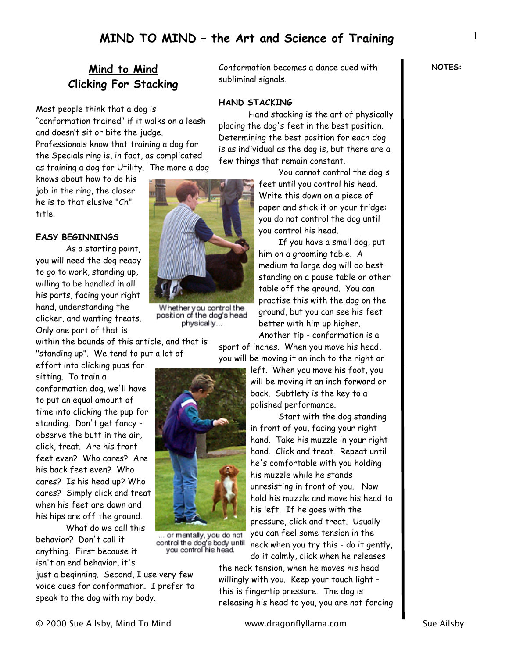## **Mind to Mind Clicking For Stacking**

Most people think that a dog is "conformation trained" if it walks on a leash and doesn't sit or bite the judge. Professionals know that training a dog for the Specials ring is, in fact, as complicated as training a dog for Utility. The more a dog

knows about how to do his job in the ring, the closer he is to that elusive "Ch" title.

#### **EASY BEGINNINGS**

As a starting point, you will need the dog ready to go to work, standing up, willing to be handled in all his parts, facing your right hand, understanding the clicker, and wanting treats. Only one part of that is

within the bounds of this article, and that is "standing up". We tend to put a lot of

effort into clicking pups for sitting. To train a conformation dog, we'll have to put an equal amount of time into clicking the pup for standing. Don't get fancy observe the butt in the air, click, treat. Are his front feet even? Who cares? Are his back feet even? Who cares? Is his head up? Who cares? Simply click and treat when his feet are down and his hips are off the ground.

 What do we call this behavior? Don't call it anything. First because it isn't an end behavior, it's

just a beginning. Second, I use very few voice cues for conformation. I prefer to speak to the dog with my body.



Whether you control the<br>position of the dog's head physically...

... or mentally, you do not control the dog's body until<br>you control his head.

Conformation becomes a dance cued with subliminal signals.

### **HAND STACKING**

 Hand stacking is the art of physically placing the dog's feet in the best position. Determining the best position for each dog is as individual as the dog is, but there are a few things that remain constant.

> You cannot control the dog's feet until you control his head. Write this down on a piece of paper and stick it on your fridge: you do not control the dog until you control his head.

> If you have a small dog, put him on a grooming table. A medium to large dog will do best standing on a pause table or other table off the ground. You can practise this with the dog on the ground, but you can see his feet better with him up higher.

Another tip - conformation is a sport of inches. When you move his head,

you will be moving it an inch to the right or



 Start with the dog standing in front of you, facing your right hand. Take his muzzle in your right hand. Click and treat. Repeat until he's comfortable with you holding his muzzle while he stands unresisting in front of you. Now hold his muzzle and move his head to his left. If he goes with the pressure, click and treat. Usually you can feel some tension in the neck when you try this - do it gently, do it calmly, click when he releases

the neck tension, when he moves his head willingly with you. Keep your touch light this is fingertip pressure. The dog is releasing his head to you, you are not forcing **NOTES:**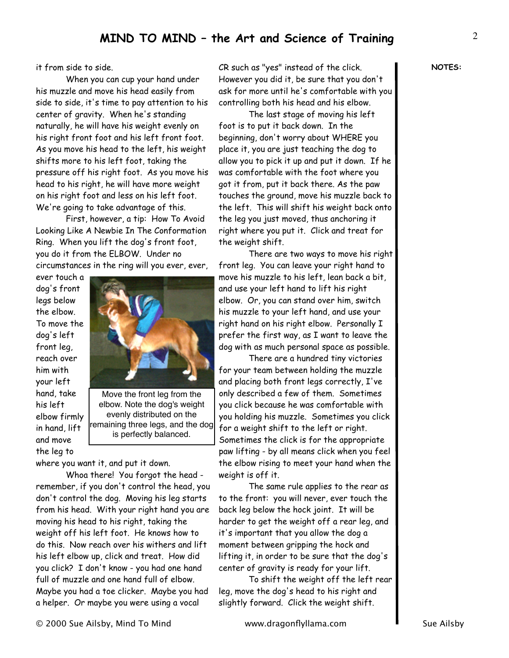it from side to side.

 When you can cup your hand under his muzzle and move his head easily from side to side, it's time to pay attention to his center of gravity. When he's standing naturally, he will have his weight evenly on his right front foot and his left front foot. As you move his head to the left, his weight shifts more to his left foot, taking the pressure off his right foot. As you move his head to his right, he will have more weight on his right foot and less on his left foot. We're going to take advantage of this.

 First, however, a tip: How To Avoid Looking Like A Newbie In The Conformation Ring. When you lift the dog's front foot, you do it from the ELBOW. Under no circumstances in the ring will you ever, ever,

ever touch a dog's front legs below the elbow. To move the dog's left front leg, reach over him with your left hand, take his left elbow firmly in hand, lift and move the leg to



Move the front leg from the elbow. Note the dog's weight evenly distributed on the remaining three legs, and the dog is perfectly balanced.

where you want it, and put it down.

 Whoa there! You forgot the head remember, if you don't control the head, you don't control the dog. Moving his leg starts from his head. With your right hand you are moving his head to his right, taking the weight off his left foot. He knows how to do this. Now reach over his withers and lift his left elbow up, click and treat. How did you click? I don't know - you had one hand full of muzzle and one hand full of elbow. Maybe you had a toe clicker. Maybe you had a helper. Or maybe you were using a vocal

CR such as "yes" instead of the click. However you did it, be sure that you don't ask for more until he's comfortable with you controlling both his head and his elbow.

 The last stage of moving his left foot is to put it back down. In the beginning, don't worry about WHERE you place it, you are just teaching the dog to allow you to pick it up and put it down. If he was comfortable with the foot where you got it from, put it back there. As the paw touches the ground, move his muzzle back to the left. This will shift his weight back onto the leg you just moved, thus anchoring it right where you put it. Click and treat for the weight shift.

 There are two ways to move his right front leg. You can leave your right hand to move his muzzle to his left, lean back a bit, and use your left hand to lift his right elbow. Or, you can stand over him, switch his muzzle to your left hand, and use your right hand on his right elbow. Personally I prefer the first way, as I want to leave the dog with as much personal space as possible.

 There are a hundred tiny victories for your team between holding the muzzle and placing both front legs correctly, I've only described a few of them. Sometimes you click because he was comfortable with you holding his muzzle. Sometimes you click for a weight shift to the left or right. Sometimes the click is for the appropriate paw lifting - by all means click when you feel the elbow rising to meet your hand when the weight is off it.

 The same rule applies to the rear as to the front: you will never, ever touch the back leg below the hock joint. It will be harder to get the weight off a rear leg, and it's important that you allow the dog a moment between gripping the hock and lifting it, in order to be sure that the dog's center of gravity is ready for your lift.

 To shift the weight off the left rear leg, move the dog's head to his right and slightly forward. Click the weight shift.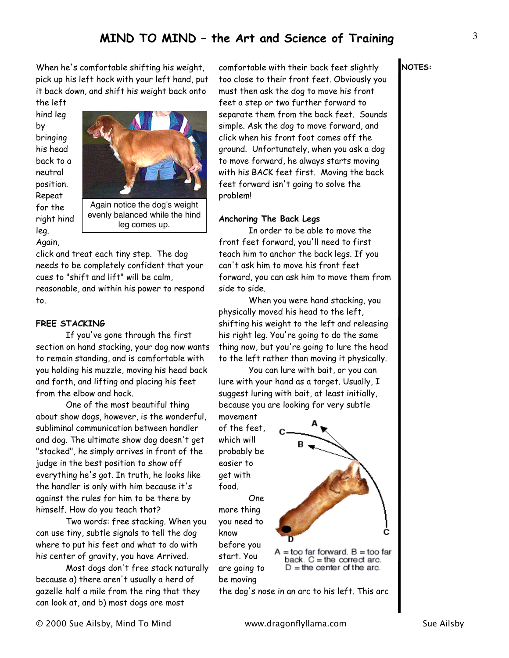When he's comfortable shifting his weight, pick up his left hock with your left hand, put it back down, and shift his weight back onto the left

hind leg by bringing his head back to a neutral position. Repeat for the right hind leg. Again,



leg comes up.

click and treat each tiny step. The dog needs to be completely confident that your cues to "shift and lift" will be calm, reasonable, and within his power to respond to.

### **FREE STACKING**

If you've gone through the first section on hand stacking, your dog now wants to remain standing, and is comfortable with you holding his muzzle, moving his head back and forth, and lifting and placing his feet from the elbow and hock.

 One of the most beautiful thing about show dogs, however, is the wonderful, subliminal communication between handler and dog. The ultimate show dog doesn't get "stacked", he simply arrives in front of the judge in the best position to show off everything he's got. In truth, he looks like the handler is only with him because it's against the rules for him to be there by himself. How do you teach that?

 Two words: free stacking. When you can use tiny, subtle signals to tell the dog where to put his feet and what to do with his center of gravity, you have Arrived.

 Most dogs don't free stack naturally because a) there aren't usually a herd of gazelle half a mile from the ring that they can look at, and b) most dogs are most

comfortable with their back feet slightly too close to their front feet. Obviously you must then ask the dog to move his front feet a step or two further forward to separate them from the back feet. Sounds simple. Ask the dog to move forward, and click when his front foot comes off the ground. Unfortunately, when you ask a dog to move forward, he always starts moving with his BACK feet first. Moving the back feet forward isn't going to solve the problem!

#### **Anchoring The Back Legs**

 In order to be able to move the front feet forward, you'll need to first teach him to anchor the back legs. If you can't ask him to move his front feet forward, you can ask him to move them from side to side.

 When you were hand stacking, you physically moved his head to the left, shifting his weight to the left and releasing his right leg. You're going to do the same thing now, but you're going to lure the head to the left rather than moving it physically.

 You can lure with bait, or you can lure with your hand as a target. Usually, I suggest luring with bait, at least initially, because you are looking for very subtle

movement of the feet, which will probably be easier to get with food.

 One more thing you need to know before you start. You are going to be moving



the dog's nose in an arc to his left. This arc

**NOTES:**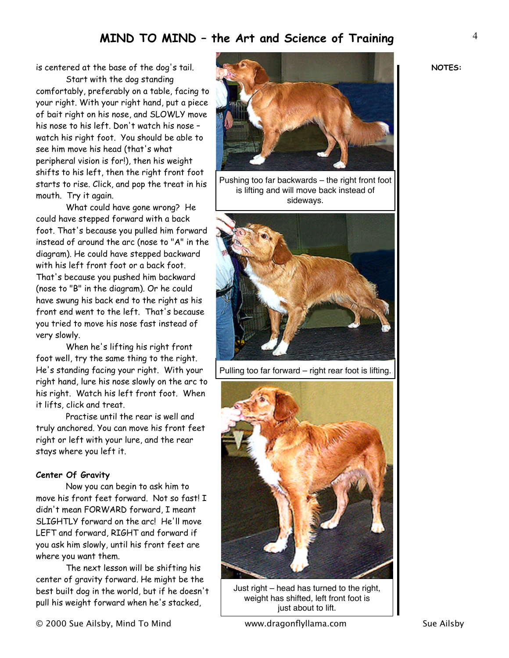is centered at the base of the dog's tail. Start with the dog standing

comfortably, preferably on a table, facing to your right. With your right hand, put a piece of bait right on his nose, and SLOWLY move his nose to his left. Don't watch his nose – watch his right foot. You should be able to see him move his head (that's what peripheral vision is for!), then his weight shifts to his left, then the right front foot starts to rise. Click, and pop the treat in his mouth. Try it again.

 What could have gone wrong? He could have stepped forward with a back foot. That's because you pulled him forward instead of around the arc (nose to "A" in the diagram). He could have stepped backward with his left front foot or a back foot. That's because you pushed him backward (nose to "B" in the diagram). Or he could have swung his back end to the right as his front end went to the left. That's because you tried to move his nose fast instead of very slowly.

 When he's lifting his right front foot well, try the same thing to the right. He's standing facing your right. With your right hand, lure his nose slowly on the arc to his right. Watch his left front foot. When it lifts, click and treat.

 Practise until the rear is well and truly anchored. You can move his front feet right or left with your lure, and the rear stays where you left it.

### **Center Of Gravity**

 Now you can begin to ask him to move his front feet forward. Not so fast! I didn't mean FORWARD forward, I meant SLIGHTLY forward on the arc! He'll move LEFT and forward, RIGHT and forward if you ask him slowly, until his front feet are where you want them.

 The next lesson will be shifting his center of gravity forward. He might be the best built dog in the world, but if he doesn't pull his weight forward when he's stacked,



Pushing too far backwards – the right front foot is lifting and will move back instead of sideways.



Pulling too far forward – right rear foot is lifting.



Just right – head has turned to the right, weight has shifted, left front foot is just about to lift.

**NOTES:**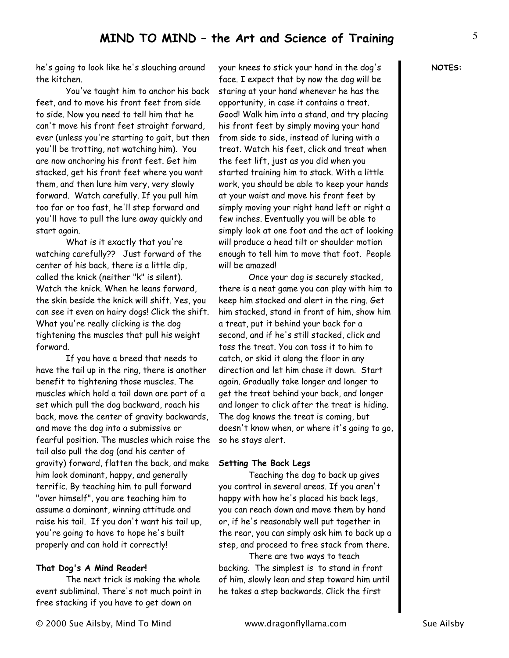he's going to look like he's slouching around the kitchen.

 You've taught him to anchor his back feet, and to move his front feet from side to side. Now you need to tell him that he can't move his front feet straight forward, ever (unless you're starting to gait, but then you'll be trotting, not watching him). You are now anchoring his front feet. Get him stacked, get his front feet where you want them, and then lure him very, very slowly forward. Watch carefully. If you pull him too far or too fast, he'll step forward and you'll have to pull the lure away quickly and start again.

 What is it exactly that you're watching carefully?? Just forward of the center of his back, there is a little dip, called the knick (neither "k" is silent). Watch the knick. When he leans forward, the skin beside the knick will shift. Yes, you can see it even on hairy dogs! Click the shift. What you're really clicking is the dog tightening the muscles that pull his weight forward.

 If you have a breed that needs to have the tail up in the ring, there is another benefit to tightening those muscles. The muscles which hold a tail down are part of a set which pull the dog backward, roach his back, move the center of gravity backwards, and move the dog into a submissive or fearful position. The muscles which raise the tail also pull the dog (and his center of gravity) forward, flatten the back, and make him look dominant, happy, and generally terrific. By teaching him to pull forward "over himself", you are teaching him to assume a dominant, winning attitude and raise his tail. If you don't want his tail up, you're going to have to hope he's built properly and can hold it correctly!

### **That Dog's A Mind Reader!**

 The next trick is making the whole event subliminal. There's not much point in free stacking if you have to get down on

your knees to stick your hand in the dog's face. I expect that by now the dog will be staring at your hand whenever he has the opportunity, in case it contains a treat. Good! Walk him into a stand, and try placing his front feet by simply moving your hand from side to side, instead of luring with a treat. Watch his feet, click and treat when the feet lift, just as you did when you started training him to stack. With a little work, you should be able to keep your hands at your waist and move his front feet by simply moving your right hand left or right a few inches. Eventually you will be able to simply look at one foot and the act of looking will produce a head tilt or shoulder motion enough to tell him to move that foot. People will be amazed!

 Once your dog is securely stacked, there is a neat game you can play with him to keep him stacked and alert in the ring. Get him stacked, stand in front of him, show him a treat, put it behind your back for a second, and if he's still stacked, click and toss the treat. You can toss it to him to catch, or skid it along the floor in any direction and let him chase it down. Start again. Gradually take longer and longer to get the treat behind your back, and longer and longer to click after the treat is hiding. The dog knows the treat is coming, but doesn't know when, or where it's going to go, so he stays alert.

#### **Setting The Back Legs**

 Teaching the dog to back up gives you control in several areas. If you aren't happy with how he's placed his back legs, you can reach down and move them by hand or, if he's reasonably well put together in the rear, you can simply ask him to back up a step, and proceed to free stack from there.

 There are two ways to teach backing. The simplest is to stand in front of him, slowly lean and step toward him until he takes a step backwards. Click the first